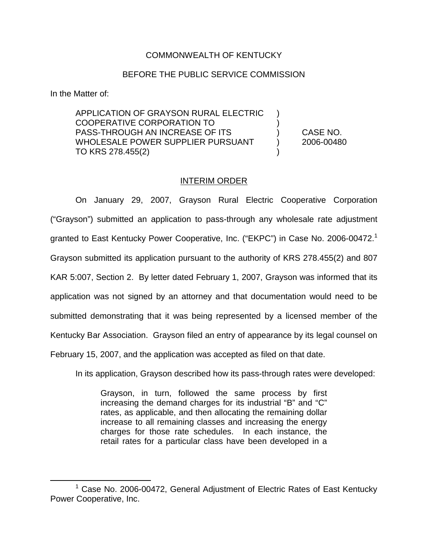## COMMONWEALTH OF KENTUCKY

## BEFORE THE PUBLIC SERVICE COMMISSION

In the Matter of:

APPLICATION OF GRAYSON RURAL ELECTRIC ) COOPERATIVE CORPORATION TO ) PASS-THROUGH AN INCREASE OF ITS ) CASE NO. WHOLESALE POWER SUPPLIER PURSUANT (2006-00480) TO KRS 278.455(2)

## INTERIM ORDER

On January 29, 2007, Grayson Rural Electric Cooperative Corporation ("Grayson") submitted an application to pass-through any wholesale rate adjustment granted to East Kentucky Power Cooperative, Inc. ("EKPC") in Case No. 2006-00472.<sup>1</sup> Grayson submitted its application pursuant to the authority of KRS 278.455(2) and 807 KAR 5:007, Section 2. By letter dated February 1, 2007, Grayson was informed that its application was not signed by an attorney and that documentation would need to be submitted demonstrating that it was being represented by a licensed member of the Kentucky Bar Association. Grayson filed an entry of appearance by its legal counsel on February 15, 2007, and the application was accepted as filed on that date.

In its application, Grayson described how its pass-through rates were developed:

Grayson, in turn, followed the same process by first increasing the demand charges for its industrial "B" and "C" rates, as applicable, and then allocating the remaining dollar increase to all remaining classes and increasing the energy charges for those rate schedules. In each instance, the retail rates for a particular class have been developed in a

<sup>1</sup> Case No. 2006-00472, General Adjustment of Electric Rates of East Kentucky Power Cooperative, Inc.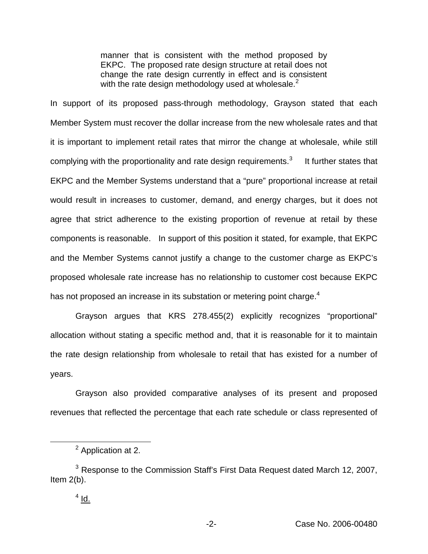manner that is consistent with the method proposed by EKPC. The proposed rate design structure at retail does not change the rate design currently in effect and is consistent with the rate design methodology used at wholesale. $<sup>2</sup>$ </sup>

In support of its proposed pass-through methodology, Grayson stated that each Member System must recover the dollar increase from the new wholesale rates and that it is important to implement retail rates that mirror the change at wholesale, while still complying with the proportionality and rate design requirements.<sup>3</sup> It further states that EKPC and the Member Systems understand that a "pure" proportional increase at retail would result in increases to customer, demand, and energy charges, but it does not agree that strict adherence to the existing proportion of revenue at retail by these components is reasonable. In support of this position it stated, for example, that EKPC and the Member Systems cannot justify a change to the customer charge as EKPC's proposed wholesale rate increase has no relationship to customer cost because EKPC has not proposed an increase in its substation or metering point charge.<sup>4</sup>

Grayson argues that KRS 278.455(2) explicitly recognizes "proportional" allocation without stating a specific method and, that it is reasonable for it to maintain the rate design relationship from wholesale to retail that has existed for a number of years.

Grayson also provided comparative analyses of its present and proposed revenues that reflected the percentage that each rate schedule or class represented of

<sup>&</sup>lt;sup>2</sup> Application at 2.

<sup>&</sup>lt;sup>3</sup> Response to the Commission Staff's First Data Request dated March 12, 2007, Item 2(b).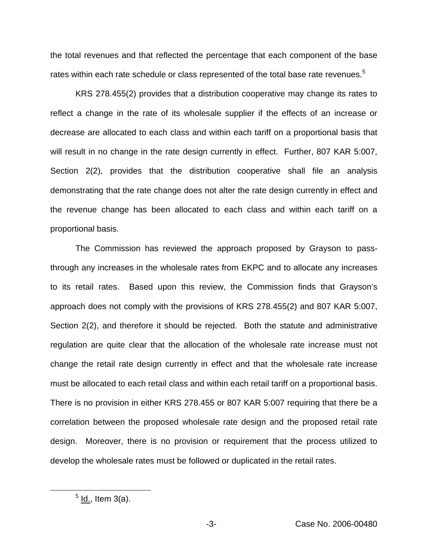the total revenues and that reflected the percentage that each component of the base rates within each rate schedule or class represented of the total base rate revenues.<sup>5</sup>

KRS 278.455(2) provides that a distribution cooperative may change its rates to reflect a change in the rate of its wholesale supplier if the effects of an increase or decrease are allocated to each class and within each tariff on a proportional basis that will result in no change in the rate design currently in effect. Further, 807 KAR 5:007, Section 2(2), provides that the distribution cooperative shall file an analysis demonstrating that the rate change does not alter the rate design currently in effect and the revenue change has been allocated to each class and within each tariff on a proportional basis.

The Commission has reviewed the approach proposed by Grayson to passthrough any increases in the wholesale rates from EKPC and to allocate any increases to its retail rates. Based upon this review, the Commission finds that Grayson's approach does not comply with the provisions of KRS 278.455(2) and 807 KAR 5:007, Section 2(2), and therefore it should be rejected. Both the statute and administrative regulation are quite clear that the allocation of the wholesale rate increase must not change the retail rate design currently in effect and that the wholesale rate increase must be allocated to each retail class and within each retail tariff on a proportional basis. There is no provision in either KRS 278.455 or 807 KAR 5:007 requiring that there be a correlation between the proposed wholesale rate design and the proposed retail rate design. Moreover, there is no provision or requirement that the process utilized to develop the wholesale rates must be followed or duplicated in the retail rates.

 $<sup>5</sup>$  ld., Item 3(a).</sup>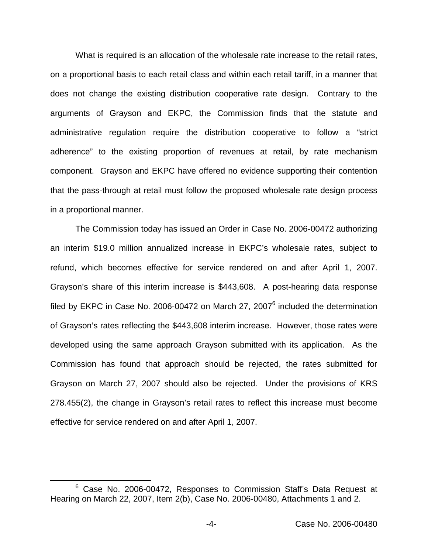What is required is an allocation of the wholesale rate increase to the retail rates, on a proportional basis to each retail class and within each retail tariff, in a manner that does not change the existing distribution cooperative rate design. Contrary to the arguments of Grayson and EKPC, the Commission finds that the statute and administrative regulation require the distribution cooperative to follow a "strict adherence" to the existing proportion of revenues at retail, by rate mechanism component. Grayson and EKPC have offered no evidence supporting their contention that the pass-through at retail must follow the proposed wholesale rate design process in a proportional manner.

The Commission today has issued an Order in Case No. 2006-00472 authorizing an interim \$19.0 million annualized increase in EKPC's wholesale rates, subject to refund, which becomes effective for service rendered on and after April 1, 2007. Grayson's share of this interim increase is \$443,608. A post-hearing data response filed by EKPC in Case No. 2006-00472 on March 27, 2007 $<sup>6</sup>$  included the determination</sup> of Grayson's rates reflecting the \$443,608 interim increase. However, those rates were developed using the same approach Grayson submitted with its application. As the Commission has found that approach should be rejected, the rates submitted for Grayson on March 27, 2007 should also be rejected. Under the provisions of KRS 278.455(2), the change in Grayson's retail rates to reflect this increase must become effective for service rendered on and after April 1, 2007.

<sup>&</sup>lt;sup>6</sup> Case No. 2006-00472, Responses to Commission Staff's Data Request at Hearing on March 22, 2007, Item 2(b), Case No. 2006-00480, Attachments 1 and 2.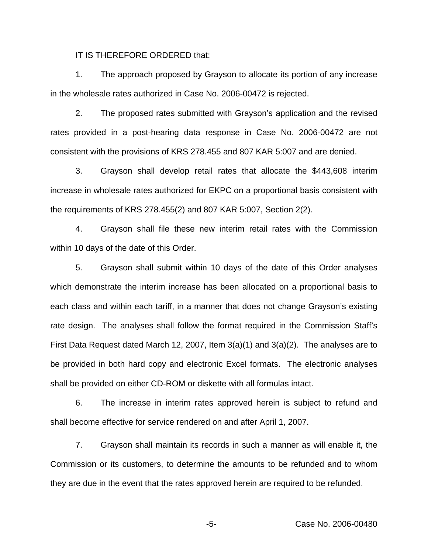IT IS THEREFORE ORDERED that:

1. The approach proposed by Grayson to allocate its portion of any increase in the wholesale rates authorized in Case No. 2006-00472 is rejected.

2. The proposed rates submitted with Grayson's application and the revised rates provided in a post-hearing data response in Case No. 2006-00472 are not consistent with the provisions of KRS 278.455 and 807 KAR 5:007 and are denied.

3. Grayson shall develop retail rates that allocate the \$443,608 interim increase in wholesale rates authorized for EKPC on a proportional basis consistent with the requirements of KRS 278.455(2) and 807 KAR 5:007, Section 2(2).

4. Grayson shall file these new interim retail rates with the Commission within 10 days of the date of this Order.

5. Grayson shall submit within 10 days of the date of this Order analyses which demonstrate the interim increase has been allocated on a proportional basis to each class and within each tariff, in a manner that does not change Grayson's existing rate design. The analyses shall follow the format required in the Commission Staff's First Data Request dated March 12, 2007, Item 3(a)(1) and 3(a)(2). The analyses are to be provided in both hard copy and electronic Excel formats. The electronic analyses shall be provided on either CD-ROM or diskette with all formulas intact.

6. The increase in interim rates approved herein is subject to refund and shall become effective for service rendered on and after April 1, 2007.

7. Grayson shall maintain its records in such a manner as will enable it, the Commission or its customers, to determine the amounts to be refunded and to whom they are due in the event that the rates approved herein are required to be refunded.